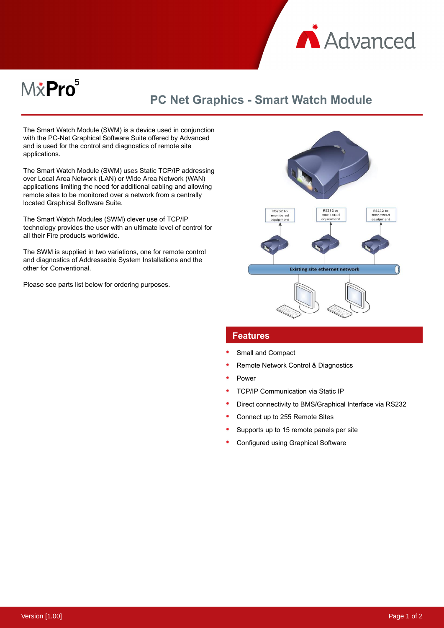

# M&Pro<sup>5</sup>

## **PC Net Graphics - Smart Watch Module**

The Smart Watch Module (SWM) is a device used in conjunction with the PC-Net Graphical Software Suite offered by Advanced and is used for the control and diagnostics of remote site applications.

The Smart Watch Module (SWM) uses Static TCP/IP addressing over Local Area Network (LAN) or Wide Area Network (WAN) applications limiting the need for additional cabling and allowing remote sites to be monitored over a network from a centrally located Graphical Software Suite.

The Smart Watch Modules (SWM) clever use of TCP/IP technology provides the user with an ultimate level of control for all their Fire products worldwide.

The SWM is supplied in two variations, one for remote control and diagnostics of Addressable System Installations and the other for Conventional.

Please see parts list below for ordering purposes.



#### **Features**

- Small and Compact
- Remote Network Control & Diagnostics
- Power
- TCP/IP Communication via Static IP
- Direct connectivity to BMS/Graphical Interface via RS232
- Connect up to 255 Remote Sites
- Supports up to 15 remote panels per site
- Configured using Graphical Software